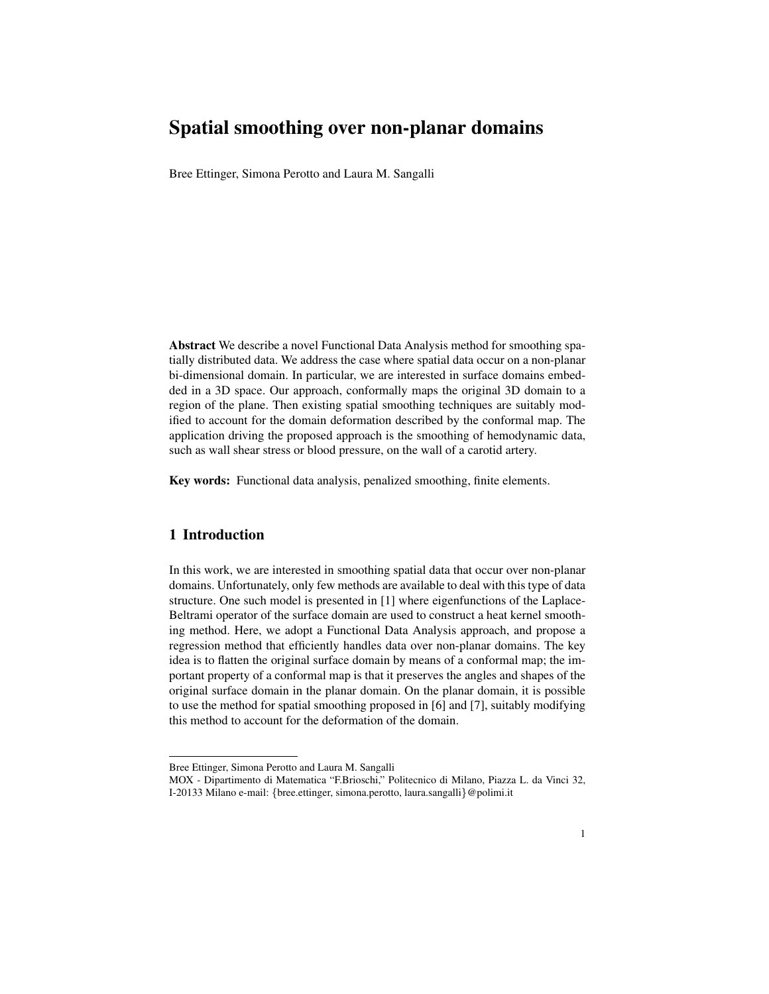## Spatial smoothing over non-planar domains

Bree Ettinger, Simona Perotto and Laura M. Sangalli

Abstract We describe a novel Functional Data Analysis method for smoothing spatially distributed data. We address the case where spatial data occur on a non-planar bi-dimensional domain. In particular, we are interested in surface domains embedded in a 3D space. Our approach, conformally maps the original 3D domain to a region of the plane. Then existing spatial smoothing techniques are suitably modified to account for the domain deformation described by the conformal map. The application driving the proposed approach is the smoothing of hemodynamic data, such as wall shear stress or blood pressure, on the wall of a carotid artery.

Key words: Functional data analysis, penalized smoothing, finite elements.

## 1 Introduction

In this work, we are interested in smoothing spatial data that occur over non-planar domains. Unfortunately, only few methods are available to deal with this type of data structure. One such model is presented in [1] where eigenfunctions of the Laplace-Beltrami operator of the surface domain are used to construct a heat kernel smoothing method. Here, we adopt a Functional Data Analysis approach, and propose a regression method that efficiently handles data over non-planar domains. The key idea is to flatten the original surface domain by means of a conformal map; the important property of a conformal map is that it preserves the angles and shapes of the original surface domain in the planar domain. On the planar domain, it is possible to use the method for spatial smoothing proposed in [6] and [7], suitably modifying this method to account for the deformation of the domain.

Bree Ettinger, Simona Perotto and Laura M. Sangalli

MOX - Dipartimento di Matematica "F.Brioschi," Politecnico di Milano, Piazza L. da Vinci 32, I-20133 Milano e-mail: {bree.ettinger, simona.perotto, laura.sangalli}@polimi.it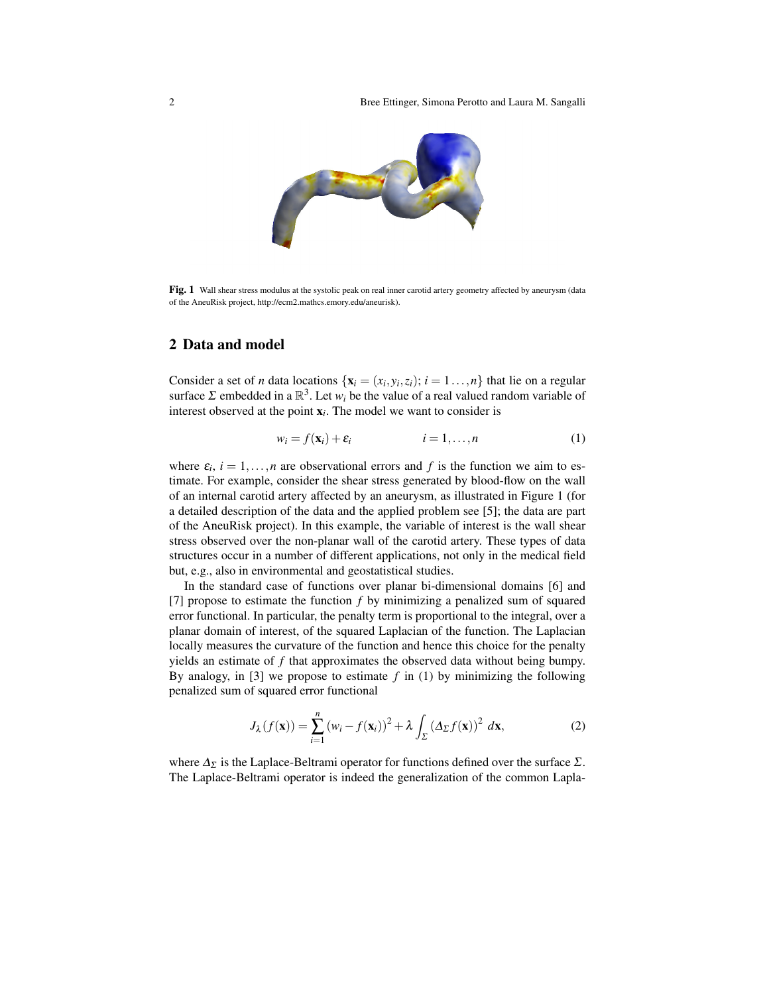

Fig. 1 Wall shear stress modulus at the systolic peak on real inner carotid artery geometry affected by aneurysm (data of the AneuRisk project, http://ecm2.mathcs.emory.edu/aneurisk).

## 2 Data and model

Consider a set of *n* data locations  $\{x_i = (x_i, y_i, z_i); i = 1, ..., n\}$  that lie on a regular surface  $\Sigma$  embedded in a  $\mathbb{R}^3$ . Let  $w_i$  be the value of a real valued random variable of interest observed at the point x*<sup>i</sup>* . The model we want to consider is

$$
w_i = f(\mathbf{x}_i) + \varepsilon_i \qquad i = 1, \dots, n \tag{1}
$$

where  $\varepsilon_i$ ,  $i = 1, \ldots, n$  are observational errors and f is the function we aim to estimate. For example, consider the shear stress generated by blood-flow on the wall of an internal carotid artery affected by an aneurysm, as illustrated in Figure 1 (for a detailed description of the data and the applied problem see [5]; the data are part of the AneuRisk project). In this example, the variable of interest is the wall shear stress observed over the non-planar wall of the carotid artery. These types of data structures occur in a number of different applications, not only in the medical field but, e.g., also in environmental and geostatistical studies.

In the standard case of functions over planar bi-dimensional domains [6] and [7] propose to estimate the function *f* by minimizing a penalized sum of squared error functional. In particular, the penalty term is proportional to the integral, over a planar domain of interest, of the squared Laplacian of the function. The Laplacian locally measures the curvature of the function and hence this choice for the penalty yields an estimate of *f* that approximates the observed data without being bumpy. By analogy, in [3] we propose to estimate  $f$  in (1) by minimizing the following penalized sum of squared error functional

$$
J_{\lambda}(f(\mathbf{x})) = \sum_{i=1}^{n} (w_i - f(\mathbf{x}_i))^2 + \lambda \int_{\Sigma} (\Delta_{\Sigma} f(\mathbf{x}))^2 d\mathbf{x},
$$
 (2)

where  $\Delta_{\Sigma}$  is the Laplace-Beltrami operator for functions defined over the surface  $\Sigma$ . The Laplace-Beltrami operator is indeed the generalization of the common Lapla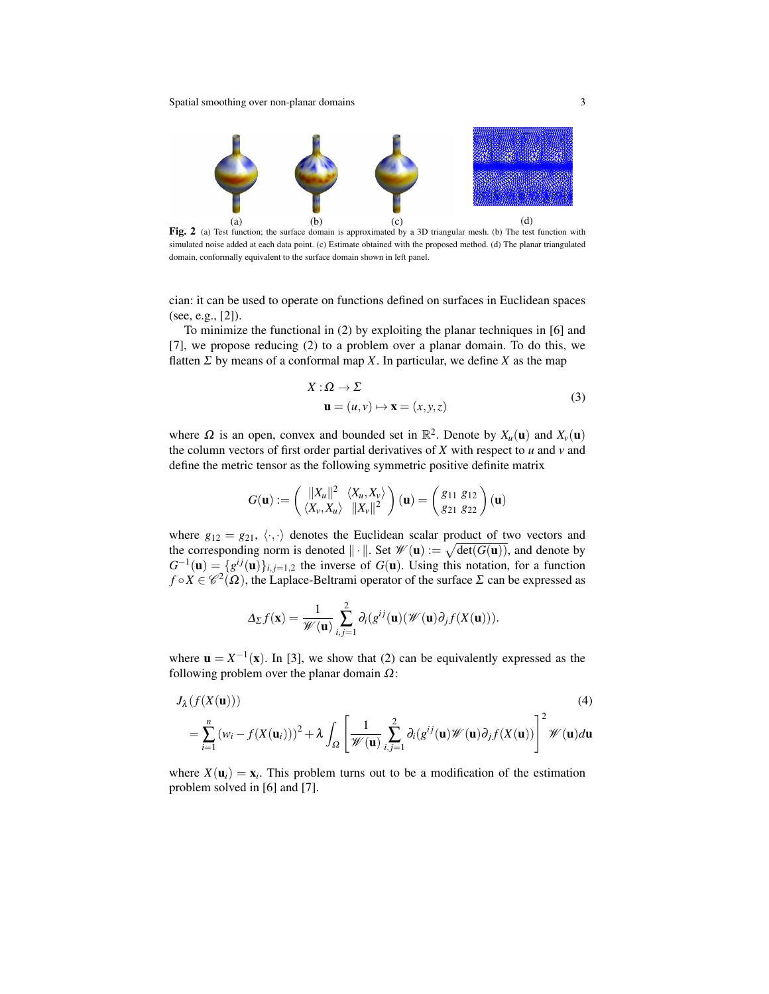Spatial smoothing over non-planar domains 3



Fig. 2 (a) Test function; the surface domain is approximated by a 3D triangular mesh. (b) The test function with simulated noise added at each data point. (c) Estimate obtained with the proposed method. (d) The planar triangulated domain, conformally equivalent to the surface domain shown in left panel.

cian: it can be used to operate on functions defined on surfaces in Euclidean spaces (see, e.g., [2]).

To minimize the functional in (2) by exploiting the planar techniques in [6] and [7], we propose reducing (2) to a problem over a planar domain. To do this, we flatten  $\Sigma$  by means of a conformal map X. In particular, we define X as the map

$$
X: \Omega \to \Sigma
$$
  

$$
\mathbf{u} = (u, v) \mapsto \mathbf{x} = (x, y, z)
$$
 (3)

where  $\Omega$  is an open, convex and bounded set in  $\mathbb{R}^2$ . Denote by  $X_u(\mathbf{u})$  and  $X_v(\mathbf{u})$ the column vectors of first order partial derivatives of  $X$  with respect to  $u$  and  $v$  and define the metric tensor as the following symmetric positive definite matrix

$$
G(\mathbf{u}) := \begin{pmatrix} ||X_u||^2 & \langle X_u, X_v \rangle \\ \langle X_v, X_u \rangle & ||X_v||^2 \end{pmatrix} (\mathbf{u}) = \begin{pmatrix} g_{11} & g_{12} \\ g_{21} & g_{22} \end{pmatrix} (\mathbf{u})
$$

where  $g_{12} = g_{21}, \langle \cdot, \cdot \rangle$  denotes the Euclidean scalar product of two vectors and the corresponding norm is denoted  $\|\cdot\|$ . Set  $\mathscr{W}(\mathbf{u}) := \sqrt{\det(G(\mathbf{u}))}$ , and denote by  $G^{-1}(\mathbf{u}) = \{g^{ij}(\mathbf{u})\}_{i,j=1,2}$  the inverse of  $G(\mathbf{u})$ . Using this notation, for a function  $f \circ X \in \mathscr{C}^2(\Omega)$ , the Laplace-Beltrami operator of the surface  $\Sigma$  can be expressed as

$$
\Delta_{\Sigma} f(\mathbf{x}) = \frac{1}{\mathscr{W}(\mathbf{u})} \sum_{i,j=1}^{2} \partial_{i} (g^{ij}(\mathbf{u}) (\mathscr{W}(\mathbf{u}) \partial_{j} f(X(\mathbf{u}))).
$$

where  $\mathbf{u} = X^{-1}(\mathbf{x})$ . In [3], we show that (2) can be equivalently expressed as the following problem over the planar domain  $\Omega$ :

$$
J_{\lambda}(f(X(\mathbf{u})))\tag{4}
$$

$$
= \sum_{i=1}^{n} (w_i - f(X(\mathbf{u}_i)))^2 + \lambda \int_{\Omega} \left[ \frac{1}{\mathscr{W}(\mathbf{u})} \sum_{i,j=1}^{2} \partial_i (g^{ij}(\mathbf{u}) \mathscr{W}(\mathbf{u}) \partial_j f(X(\mathbf{u})) \right]^2 \mathscr{W}(\mathbf{u}) d\mathbf{u}
$$

where  $X(\mathbf{u}_i) = \mathbf{x}_i$ . This problem turns out to be a modification of the estimation problem solved in [6] and [7].